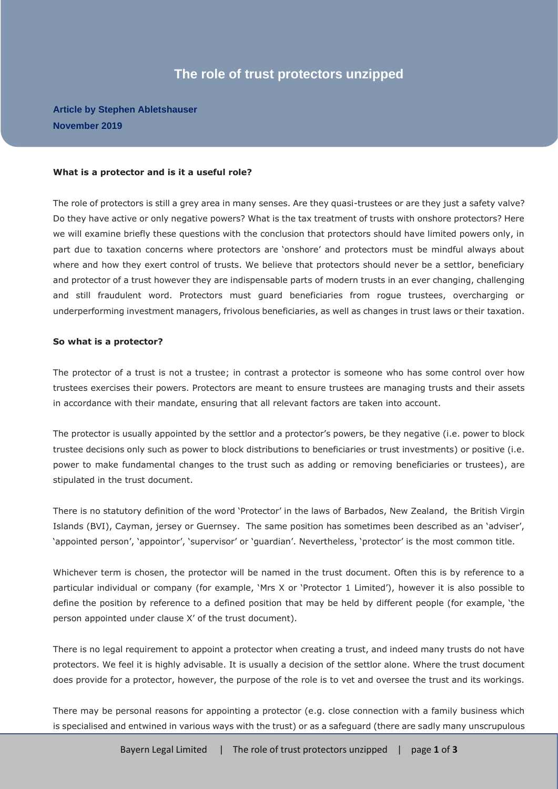# **The role of trust protectors unzipped**

# **Article by Stephen Abletshauser November 2019**

#### **What is a protector and is it a useful role?**

The role of protectors is still a grey area in many senses. Are they quasi-trustees or are they just a safety valve? Do they have active or only negative powers? What is the tax treatment of trusts with onshore protectors? Here we will examine briefly these questions with the conclusion that protectors should have limited powers only, in part due to taxation concerns where protectors are 'onshore' and protectors must be mindful always about where and how they exert control of trusts. We believe that protectors should never be a settlor, beneficiary and protector of a trust however they are indispensable parts of modern trusts in an ever changing, challenging and still fraudulent word. Protectors must guard beneficiaries from rogue trustees, overcharging or underperforming investment managers, frivolous beneficiaries, as well as changes in trust laws or their taxation.

#### **So what is a protector?**

The protector of a trust is not a trustee; in contrast a protector is someone who has some control over how trustees exercises their powers. Protectors are meant to ensure trustees are managing trusts and their assets in accordance with their mandate, ensuring that all relevant factors are taken into account.

The protector is usually appointed by the settlor and a protector's powers, be they negative (i.e. power to block trustee decisions only such as power to block distributions to beneficiaries or trust investments) or positive (i.e. power to make fundamental changes to the trust such as adding or removing beneficiaries or trustees), are stipulated in the trust document.

There is no statutory definition of the word 'Protector' in the laws of Barbados, New Zealand, the British Virgin Islands (BVI), Cayman, jersey or Guernsey. The same position has sometimes been described as an 'adviser', 'appointed person', 'appointor', 'supervisor' or 'guardian'. Nevertheless, 'protector' is the most common title.

Whichever term is chosen, the protector will be named in the trust document. Often this is by reference to a particular individual or company (for example, 'Mrs X or 'Protector 1 Limited'), however it is also possible to define the position by reference to a defined position that may be held by different people (for example, 'the person appointed under clause X' of the trust document).

There is no legal requirement to appoint a protector when creating a trust, and indeed many trusts do not have protectors. We feel it is highly advisable. It is usually a decision of the settlor alone. Where the trust document does provide for a protector, however, the purpose of the role is to vet and oversee the trust and its workings.

There may be personal reasons for appointing a protector (e.g. close connection with a family business which is specialised and entwined in various ways with the trust) or as a safeguard (there are sadly many unscrupulous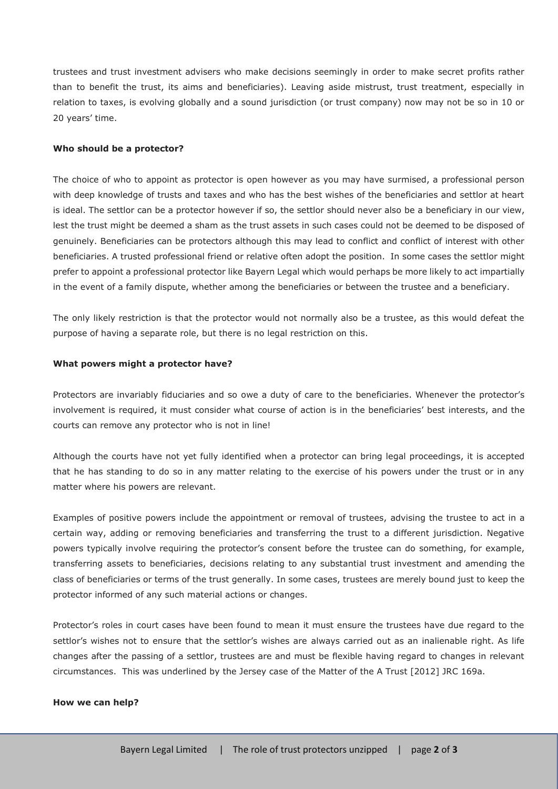trustees and trust investment advisers who make decisions seemingly in order to make secret profits rather than to benefit the trust, its aims and beneficiaries). Leaving aside mistrust, trust treatment, especially in relation to taxes, is evolving globally and a sound jurisdiction (or trust company) now may not be so in 10 or 20 years' time.

## **Who should be a protector?**

The choice of who to appoint as protector is open however as you may have surmised, a professional person with deep knowledge of trusts and taxes and who has the best wishes of the beneficiaries and settlor at heart is ideal. The settlor can be a protector however if so, the settlor should never also be a beneficiary in our view, lest the trust might be deemed a sham as the trust assets in such cases could not be deemed to be disposed of genuinely. Beneficiaries can be protectors although this may lead to conflict and conflict of interest with other beneficiaries. A trusted professional friend or relative often adopt the position. In some cases the settlor might prefer to appoint a professional protector like Bayern Legal which would perhaps be more likely to act impartially in the event of a family dispute, whether among the beneficiaries or between the trustee and a beneficiary.

The only likely restriction is that the protector would not normally also be a trustee, as this would defeat the purpose of having a separate role, but there is no legal restriction on this.

### **What powers might a protector have?**

Protectors are invariably fiduciaries and so owe a duty of care to the beneficiaries. Whenever the protector's involvement is required, it must consider what course of action is in the beneficiaries' best interests, and the courts can remove any protector who is not in line!

Although the courts have not yet fully identified when a protector can bring legal proceedings, it is accepted that he has standing to do so in any matter relating to the exercise of his powers under the trust or in any matter where his powers are relevant.

Examples of positive powers include the appointment or removal of trustees, advising the trustee to act in a certain way, adding or removing beneficiaries and transferring the trust to a different jurisdiction. Negative powers typically involve requiring the protector's consent before the trustee can do something, for example, transferring assets to beneficiaries, decisions relating to any substantial trust investment and amending the class of beneficiaries or terms of the trust generally. In some cases, trustees are merely bound just to keep the protector informed of any such material actions or changes.

Protector's roles in court cases have been found to mean it must ensure the trustees have due regard to the settlor's wishes not to ensure that the settlor's wishes are always carried out as an inalienable right. As life changes after the passing of a settlor, trustees are and must be flexible having regard to changes in relevant circumstances. This was underlined by the Jersey case of the Matter of the A Trust [2012] JRC 169a.

#### **How we can help?**